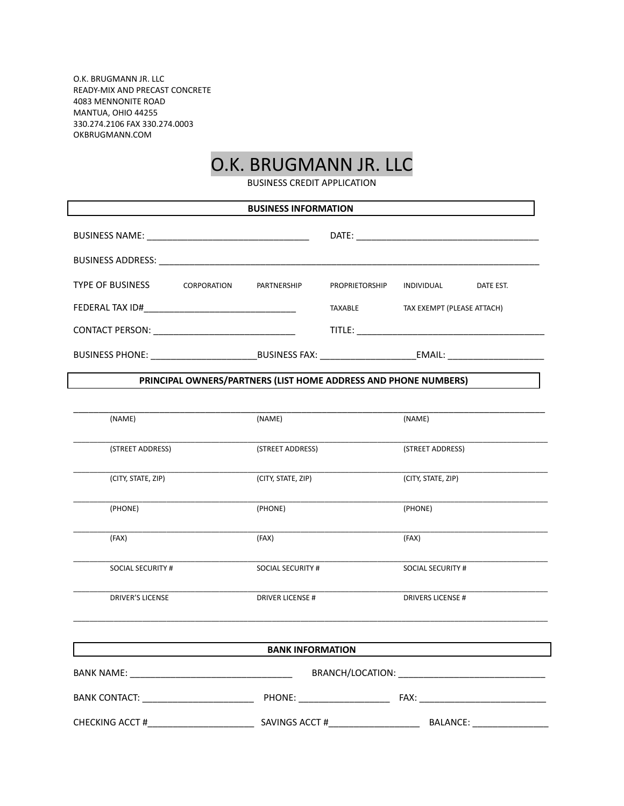O.K. BRUGMANN JR. LLC READY-MIX AND PRECAST CONCRETE 4083 MENNONITE ROAD MANTUA, OHIO 44255 330.274.2106 FAX 330.274.0003 OKBRUGMANN.COM

## O.K. BRUGMANN JR. LLC

BUSINESS CREDIT APPLICATION

| <b>BUSINESS INFORMATION</b> |                    |                                                                 |                |                            |           |  |
|-----------------------------|--------------------|-----------------------------------------------------------------|----------------|----------------------------|-----------|--|
|                             |                    |                                                                 |                |                            |           |  |
|                             |                    |                                                                 |                |                            |           |  |
| <b>TYPE OF BUSINESS</b>     | <b>CORPORATION</b> | PARTNERSHIP                                                     | PROPRIETORSHIP | INDIVIDUAL                 | DATE EST. |  |
|                             |                    |                                                                 | <b>TAXABLE</b> | TAX EXEMPT (PLEASE ATTACH) |           |  |
|                             |                    |                                                                 |                |                            |           |  |
|                             |                    |                                                                 |                |                            |           |  |
|                             |                    | PRINCIPAL OWNERS/PARTNERS (LIST HOME ADDRESS AND PHONE NUMBERS) |                |                            |           |  |
|                             |                    |                                                                 |                |                            |           |  |
| (NAME)                      |                    | (NAME)                                                          |                | (NAME)                     |           |  |
| (STREET ADDRESS)            |                    | (STREET ADDRESS)                                                |                | (STREET ADDRESS)           |           |  |
| (CITY, STATE, ZIP)          |                    | (CITY, STATE, ZIP)                                              |                | (CITY, STATE, ZIP)         |           |  |
| (PHONE)                     |                    | (PHONE)                                                         |                | (PHONE)                    |           |  |
| (FAX)                       |                    | (FAX)                                                           |                | (FAX)                      |           |  |
| SOCIAL SECURITY #           |                    | SOCIAL SECURITY #                                               |                | <b>SOCIAL SECURITY #</b>   |           |  |
| <b>DRIVER'S LICENSE</b>     |                    | <b>DRIVER LICENSE #</b>                                         |                | <b>DRIVERS LICENSE #</b>   |           |  |
|                             |                    | <b>BANK INFORMATION</b>                                         |                |                            |           |  |
|                             |                    |                                                                 |                |                            |           |  |
|                             |                    |                                                                 |                |                            |           |  |
|                             |                    |                                                                 |                |                            |           |  |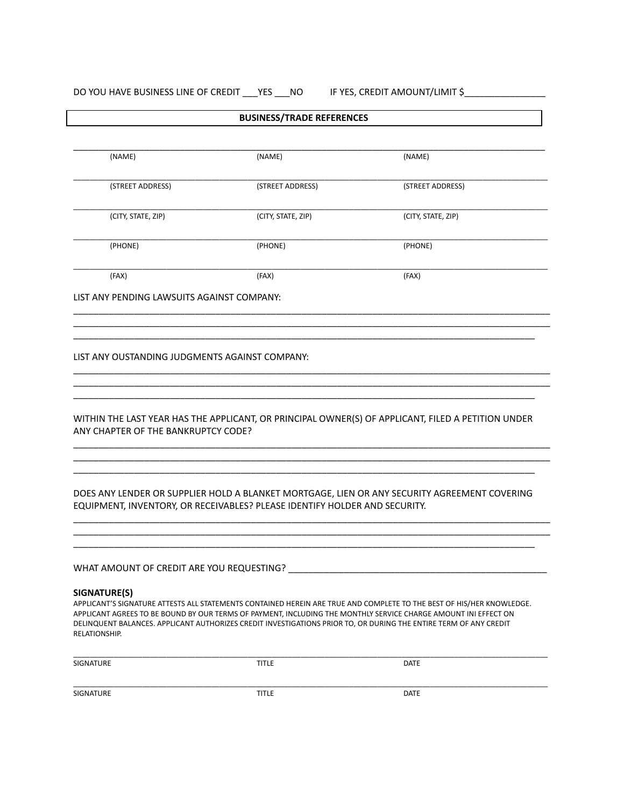## DO YOU HAVE BUSINESS LINE OF CREDIT \_\_\_ YES \_\_\_ NO IF YES, CREDIT AMOUNT/LIMIT \$\_\_\_\_\_\_\_\_\_\_\_\_\_\_\_\_\_\_\_

| (NAME)<br>(STREET ADDRESS)<br>(CITY, STATE, ZIP)<br>(PHONE)                | (NAME)<br>(STREET ADDRESS)<br>(CITY, STATE, ZIP)                                                   |
|----------------------------------------------------------------------------|----------------------------------------------------------------------------------------------------|
|                                                                            |                                                                                                    |
|                                                                            |                                                                                                    |
|                                                                            |                                                                                                    |
|                                                                            | (PHONE)                                                                                            |
| (FAX)                                                                      | (FAX)                                                                                              |
| LIST ANY PENDING LAWSUITS AGAINST COMPANY:                                 |                                                                                                    |
|                                                                            | WITHIN THE LAST YEAR HAS THE APPLICANT, OR PRINCIPAL OWNER(S) OF APPLICANT, FILED A PETITION UNDER |
|                                                                            |                                                                                                    |
| EQUIPMENT, INVENTORY, OR RECEIVABLES? PLEASE IDENTIFY HOLDER AND SECURITY. | DOES ANY LENDER OR SUPPLIER HOLD A BLANKET MORTGAGE, LIEN OR ANY SECURITY AGREEMENT COVERING       |
|                                                                            |                                                                                                    |
|                                                                            | WHAT AMOUNT OF CREDIT ARE YOU REQUESTING?                                                          |

APPLICANT'S SIGNATURE ATTESTS ALL STATEMENTS CONTAINED HEREIN ARE TRUE AND COMPLETE TO THE BEST OF HIS/HER KNOWLEDGE. APPLICANT AGREES TO BE BOUND BY OUR TERMS OF PAYMENT, INCLUDING THE MONTHLY SERVICE CHARGE AMOUNT INI EFFECT ON DELINQUENT BALANCES. APPLICANT AUTHORIZES CREDIT INVESTIGATIONS PRIOR TO, OR DURING THE ENTIRE TERM OF ANY CREDIT RELATIONSHIP.

| SIGNATURE        | <b>TITLE</b> | <b>DATE</b> |  |
|------------------|--------------|-------------|--|
|                  |              |             |  |
| <b>SIGNATURE</b> | <b>TITLE</b> | <b>DATE</b> |  |